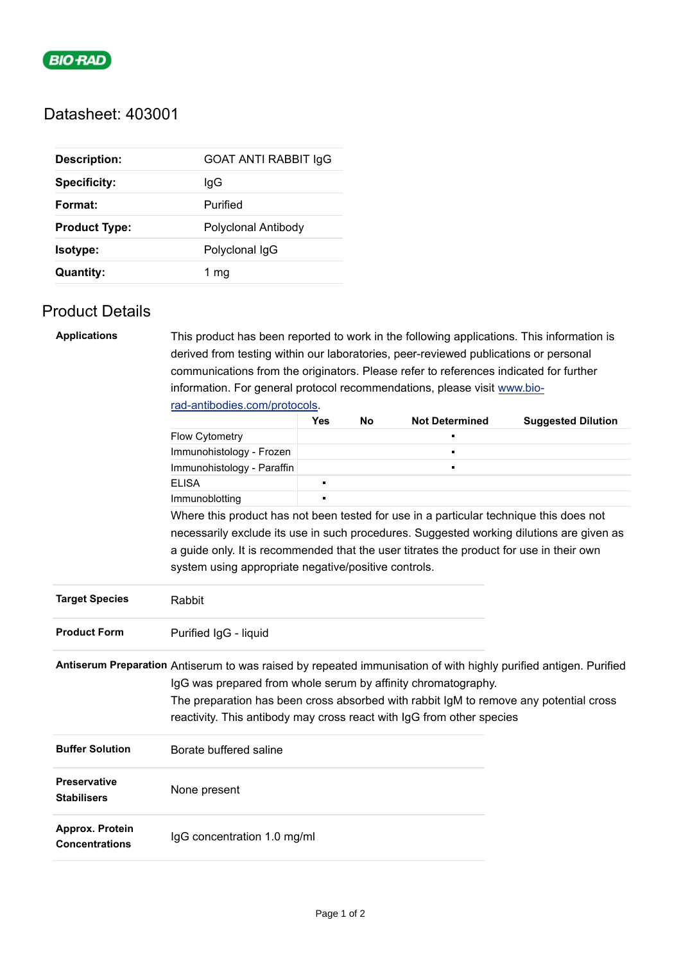

## Datasheet: 403001

| <b>Description:</b>  | <b>GOAT ANTI RABBIT IgG</b> |  |  |
|----------------------|-----------------------------|--|--|
| <b>Specificity:</b>  | lgG                         |  |  |
| Format:              | Purified                    |  |  |
| <b>Product Type:</b> | Polyclonal Antibody         |  |  |
| Isotype:             | Polyclonal IgG              |  |  |
| <b>Quantity:</b>     | 1 mg                        |  |  |

## Product Details

| <b>Applications</b>                                                                                                                                                                                                                                                                                                                                 | This product has been reported to work in the following applications. This information is |     |    |                       |                                                                                          |  |  |
|-----------------------------------------------------------------------------------------------------------------------------------------------------------------------------------------------------------------------------------------------------------------------------------------------------------------------------------------------------|-------------------------------------------------------------------------------------------|-----|----|-----------------------|------------------------------------------------------------------------------------------|--|--|
|                                                                                                                                                                                                                                                                                                                                                     | derived from testing within our laboratories, peer-reviewed publications or personal      |     |    |                       |                                                                                          |  |  |
|                                                                                                                                                                                                                                                                                                                                                     | communications from the originators. Please refer to references indicated for further     |     |    |                       |                                                                                          |  |  |
|                                                                                                                                                                                                                                                                                                                                                     | information. For general protocol recommendations, please visit www.bio-                  |     |    |                       |                                                                                          |  |  |
|                                                                                                                                                                                                                                                                                                                                                     | rad-antibodies.com/protocols.                                                             |     |    |                       |                                                                                          |  |  |
|                                                                                                                                                                                                                                                                                                                                                     |                                                                                           | Yes | No | <b>Not Determined</b> | <b>Suggested Dilution</b>                                                                |  |  |
|                                                                                                                                                                                                                                                                                                                                                     | Flow Cytometry                                                                            |     |    |                       |                                                                                          |  |  |
|                                                                                                                                                                                                                                                                                                                                                     | Immunohistology - Frozen                                                                  |     |    |                       |                                                                                          |  |  |
|                                                                                                                                                                                                                                                                                                                                                     | Immunohistology - Paraffin                                                                |     |    |                       |                                                                                          |  |  |
|                                                                                                                                                                                                                                                                                                                                                     | <b>ELISA</b>                                                                              | п   |    |                       |                                                                                          |  |  |
|                                                                                                                                                                                                                                                                                                                                                     | Immunoblotting                                                                            |     |    |                       |                                                                                          |  |  |
|                                                                                                                                                                                                                                                                                                                                                     | Where this product has not been tested for use in a particular technique this does not    |     |    |                       |                                                                                          |  |  |
|                                                                                                                                                                                                                                                                                                                                                     |                                                                                           |     |    |                       | necessarily exclude its use in such procedures. Suggested working dilutions are given as |  |  |
|                                                                                                                                                                                                                                                                                                                                                     | a guide only. It is recommended that the user titrates the product for use in their own   |     |    |                       |                                                                                          |  |  |
|                                                                                                                                                                                                                                                                                                                                                     | system using appropriate negative/positive controls.                                      |     |    |                       |                                                                                          |  |  |
| <b>Target Species</b>                                                                                                                                                                                                                                                                                                                               | Rabbit                                                                                    |     |    |                       |                                                                                          |  |  |
| <b>Product Form</b>                                                                                                                                                                                                                                                                                                                                 | Purified IgG - liquid                                                                     |     |    |                       |                                                                                          |  |  |
| Antiserum Preparation Antiserum to was raised by repeated immunisation of with highly purified antigen. Purified<br>IgG was prepared from whole serum by affinity chromatography.<br>The preparation has been cross absorbed with rabbit IgM to remove any potential cross<br>reactivity. This antibody may cross react with IgG from other species |                                                                                           |     |    |                       |                                                                                          |  |  |
| <b>Buffer Solution</b>                                                                                                                                                                                                                                                                                                                              | Borate buffered saline                                                                    |     |    |                       |                                                                                          |  |  |
| <b>Preservative</b><br><b>Stabilisers</b>                                                                                                                                                                                                                                                                                                           | None present                                                                              |     |    |                       |                                                                                          |  |  |
| Approx. Protein<br><b>Concentrations</b>                                                                                                                                                                                                                                                                                                            | IgG concentration 1.0 mg/ml                                                               |     |    |                       |                                                                                          |  |  |